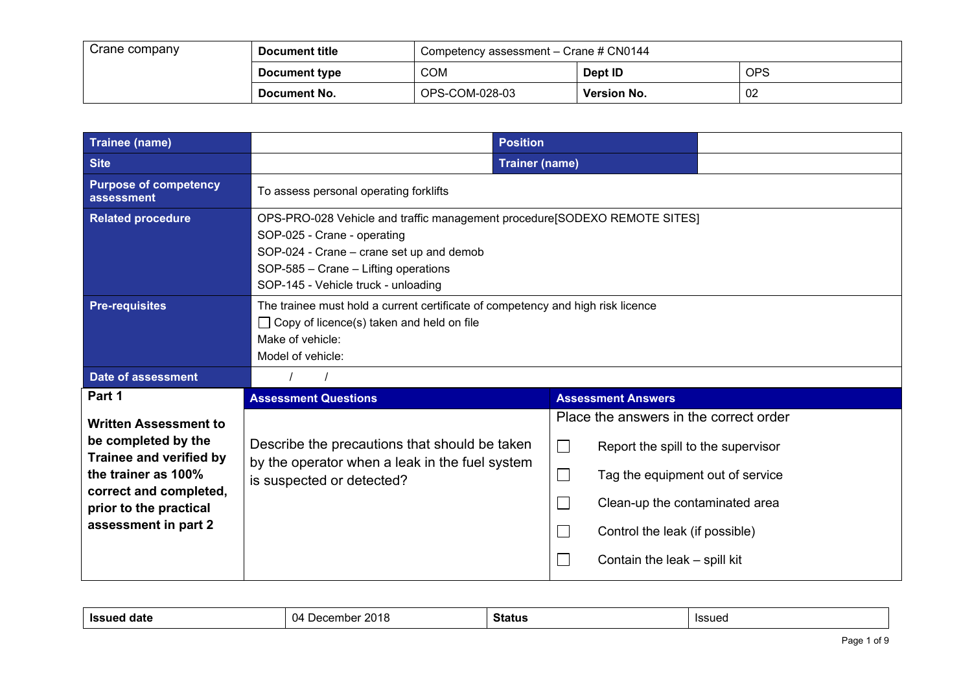| Crane company | Document title | Competency assessment - Crane # CN0144 |                    |     |
|---------------|----------------|----------------------------------------|--------------------|-----|
|               | Document type  | <b>COM</b>                             | Dept ID            | OPS |
|               | Document No.   | OPS-COM-028-03                         | <b>Version No.</b> | 02  |

| <b>Trainee (name)</b>                                                                                                                                                             | <b>Position</b>                                                                                                                                                                                                                     |                                                                                                                                                                                                                                                                             |
|-----------------------------------------------------------------------------------------------------------------------------------------------------------------------------------|-------------------------------------------------------------------------------------------------------------------------------------------------------------------------------------------------------------------------------------|-----------------------------------------------------------------------------------------------------------------------------------------------------------------------------------------------------------------------------------------------------------------------------|
| <b>Site</b>                                                                                                                                                                       |                                                                                                                                                                                                                                     | <b>Trainer (name)</b>                                                                                                                                                                                                                                                       |
| <b>Purpose of competency</b><br>assessment                                                                                                                                        | To assess personal operating forklifts                                                                                                                                                                                              |                                                                                                                                                                                                                                                                             |
| <b>Related procedure</b>                                                                                                                                                          | OPS-PRO-028 Vehicle and traffic management procedure[SODEXO REMOTE SITES]<br>SOP-025 - Crane - operating<br>SOP-024 - Crane - crane set up and demob<br>SOP-585 - Crane - Lifting operations<br>SOP-145 - Vehicle truck - unloading |                                                                                                                                                                                                                                                                             |
| <b>Pre-requisites</b>                                                                                                                                                             | The trainee must hold a current certificate of competency and high risk licence<br>$\Box$ Copy of licence(s) taken and held on file<br>Make of vehicle:<br>Model of vehicle:                                                        |                                                                                                                                                                                                                                                                             |
| <b>Date of assessment</b>                                                                                                                                                         |                                                                                                                                                                                                                                     |                                                                                                                                                                                                                                                                             |
| Part 1                                                                                                                                                                            | <b>Assessment Questions</b>                                                                                                                                                                                                         | <b>Assessment Answers</b>                                                                                                                                                                                                                                                   |
| <b>Written Assessment to</b><br>be completed by the<br>Trainee and verified by<br>the trainer as 100%<br>correct and completed,<br>prior to the practical<br>assessment in part 2 | Describe the precautions that should be taken<br>by the operator when a leak in the fuel system<br>is suspected or detected?                                                                                                        | Place the answers in the correct order<br>$\Box$<br>Report the spill to the supervisor<br>Tag the equipment out of service<br>$\overline{\phantom{a}}$<br>Clean-up the contaminated area<br>$\mathcal{L}$<br>Control the leak (if possible)<br>Contain the leak - spill kit |

| <b>Issuer</b><br>aate | 0010<br>$\overline{\phantom{a}}$<br>$\sim$<br>1 I A<br>ecember<br>ZUIG<br>$\sim$<br>. . | <b>Status</b> | Issued |
|-----------------------|-----------------------------------------------------------------------------------------|---------------|--------|
|                       |                                                                                         |               |        |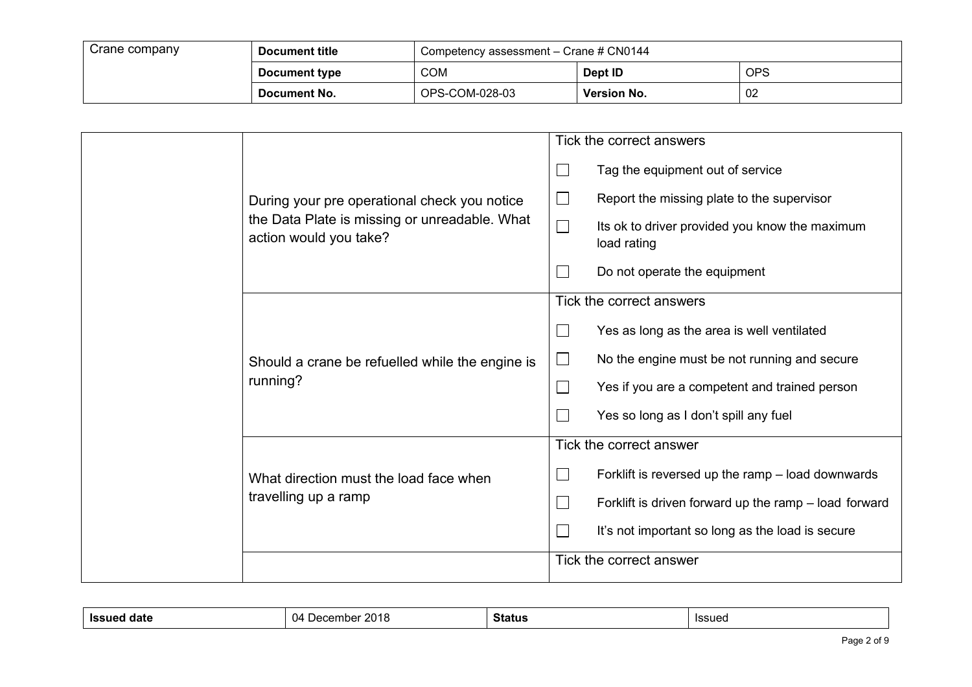| Crane company | Document title | Competency assessment - Crane # CN0144 |                    |     |
|---------------|----------------|----------------------------------------|--------------------|-----|
|               | Document type  | <b>COM</b>                             | Dept ID            | OPS |
|               | Document No.   | OPS-COM-028-03                         | <b>Version No.</b> | 02  |

|  |                                                                         |                   | Tick the correct answers                                      |
|--|-------------------------------------------------------------------------|-------------------|---------------------------------------------------------------|
|  |                                                                         | $\Box$            | Tag the equipment out of service                              |
|  | During your pre operational check you notice                            | $\vert \ \ \vert$ | Report the missing plate to the supervisor                    |
|  | the Data Plate is missing or unreadable. What<br>action would you take? | $\Box$            | Its ok to driver provided you know the maximum<br>load rating |
|  |                                                                         |                   | Do not operate the equipment                                  |
|  |                                                                         |                   | Tick the correct answers                                      |
|  |                                                                         | $\Box$            | Yes as long as the area is well ventilated                    |
|  | Should a crane be refuelled while the engine is                         | $\Box$            | No the engine must be not running and secure                  |
|  | running?                                                                | $\Box$            | Yes if you are a competent and trained person                 |
|  |                                                                         |                   | Yes so long as I don't spill any fuel                         |
|  |                                                                         |                   | Tick the correct answer                                       |
|  | What direction must the load face when                                  | $\Box$            | Forklift is reversed up the ramp - load downwards             |
|  | travelling up a ramp                                                    | $\mathcal{L}$     | Forklift is driven forward up the ramp – load forward         |
|  |                                                                         |                   | It's not important so long as the load is secure              |
|  |                                                                         |                   | Tick the correct answer                                       |

| Issued<br>aate | 2018<br>U4<br>mbel<br>,,, | <b>Status</b><br>------- | <b>Issued</b> |
|----------------|---------------------------|--------------------------|---------------|
|                |                           |                          |               |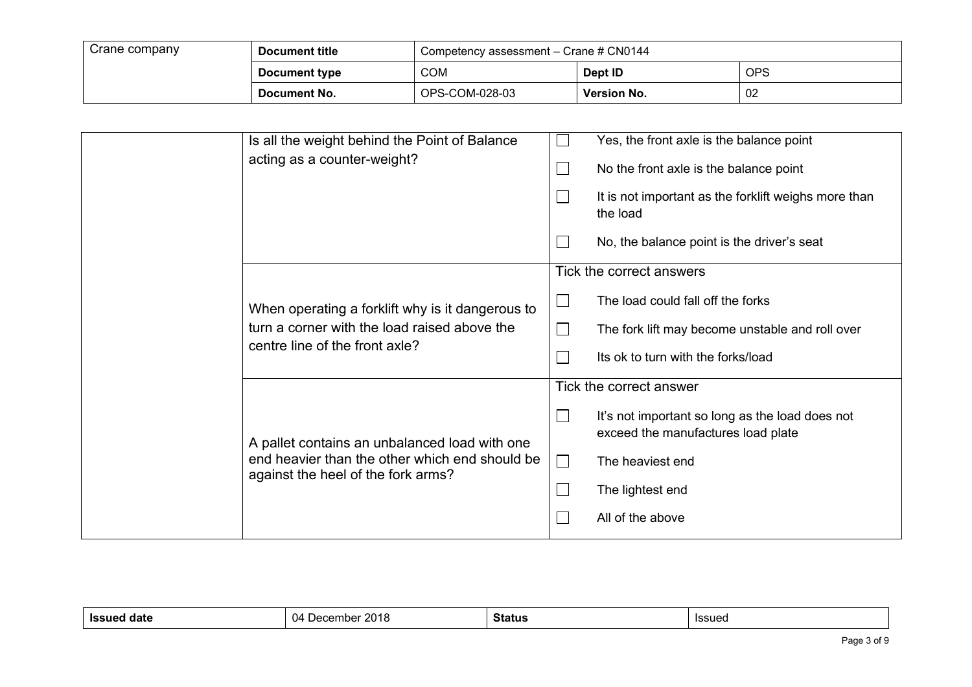| Crane company | Document title | Competency assessment - Crane # CN0144 |             |            |
|---------------|----------------|----------------------------------------|-------------|------------|
|               | Document type  | <b>COM</b>                             | Dept ID     | <b>OPS</b> |
|               | Document No.   | OPS-COM-028-03                         | Version No. | 02         |

| Is all the weight behind the Point of Balance<br>acting as a counter-weight?                                                          | $\mathcal{L}_{\mathcal{A}}$<br>$\Box$ | Yes, the front axle is the balance point<br>No the front axle is the balance point<br>It is not important as the forklift weighs more than<br>the load<br>No, the balance point is the driver's seat |
|---------------------------------------------------------------------------------------------------------------------------------------|---------------------------------------|------------------------------------------------------------------------------------------------------------------------------------------------------------------------------------------------------|
| When operating a forklift why is it dangerous to<br>turn a corner with the load raised above the<br>centre line of the front axle?    | $\Box$<br>$\mathbf{L}$                | Tick the correct answers<br>The load could fall off the forks<br>The fork lift may become unstable and roll over<br>Its ok to turn with the forks/load                                               |
| A pallet contains an unbalanced load with one<br>end heavier than the other which end should be<br>against the heel of the fork arms? | $\Box$<br>$\Box$<br>$\Box$            | Tick the correct answer<br>It's not important so long as the load does not<br>exceed the manufactures load plate<br>The heaviest end<br>The lightest end<br>All of the above                         |

| . .<br>1001100<br>.<br>Status<br>IS:<br>ıssueu<br>. . |  |  |  |  |  |
|-------------------------------------------------------|--|--|--|--|--|
|-------------------------------------------------------|--|--|--|--|--|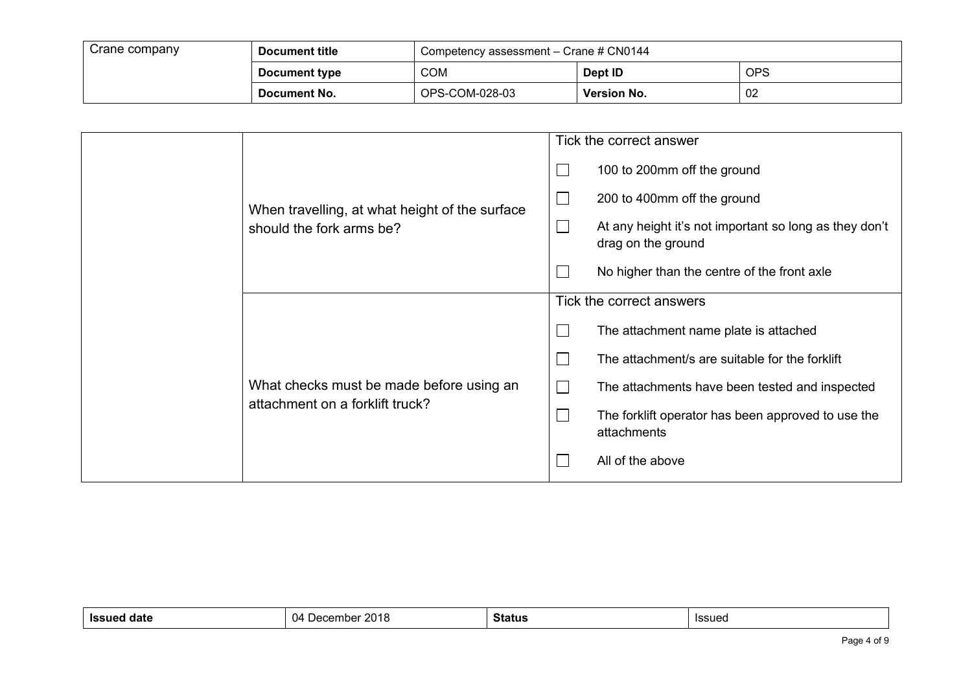| Crane company | Document title | Competency assessment - Crane # CN0144 |                    |     |
|---------------|----------------|----------------------------------------|--------------------|-----|
|               | Document type  | <b>COM</b>                             | Dept ID            | OPS |
|               | Document No.   | OPS-COM-028-03                         | <b>Version No.</b> | 02  |

|                                                | Tick the correct answer                                                                |  |  |
|------------------------------------------------|----------------------------------------------------------------------------------------|--|--|
|                                                | 100 to 200mm off the ground<br>$\Box$                                                  |  |  |
| When travelling, at what height of the surface | $\Box$<br>200 to 400mm off the ground                                                  |  |  |
| should the fork arms be?                       | $\Box$<br>At any height it's not important so long as they don't<br>drag on the ground |  |  |
|                                                | No higher than the centre of the front axle                                            |  |  |
|                                                | Tick the correct answers                                                               |  |  |
|                                                | The attachment name plate is attached<br>$\Box$                                        |  |  |
|                                                | The attachment/s are suitable for the forklift<br>$\Box$                               |  |  |
| What checks must be made before using an       | $\Box$<br>The attachments have been tested and inspected                               |  |  |
| attachment on a forklift truck?                | $\Box$<br>The forklift operator has been approved to use the<br>attachments            |  |  |
|                                                | All of the above                                                                       |  |  |

| 11<br>ıс<br>$\ddot{\phantom{0}}$<br>.<br>ecember<br>୵<br>оми<br>.<br>. . | ۰.<br>Status | <b>Issued</b> |
|--------------------------------------------------------------------------|--------------|---------------|
|--------------------------------------------------------------------------|--------------|---------------|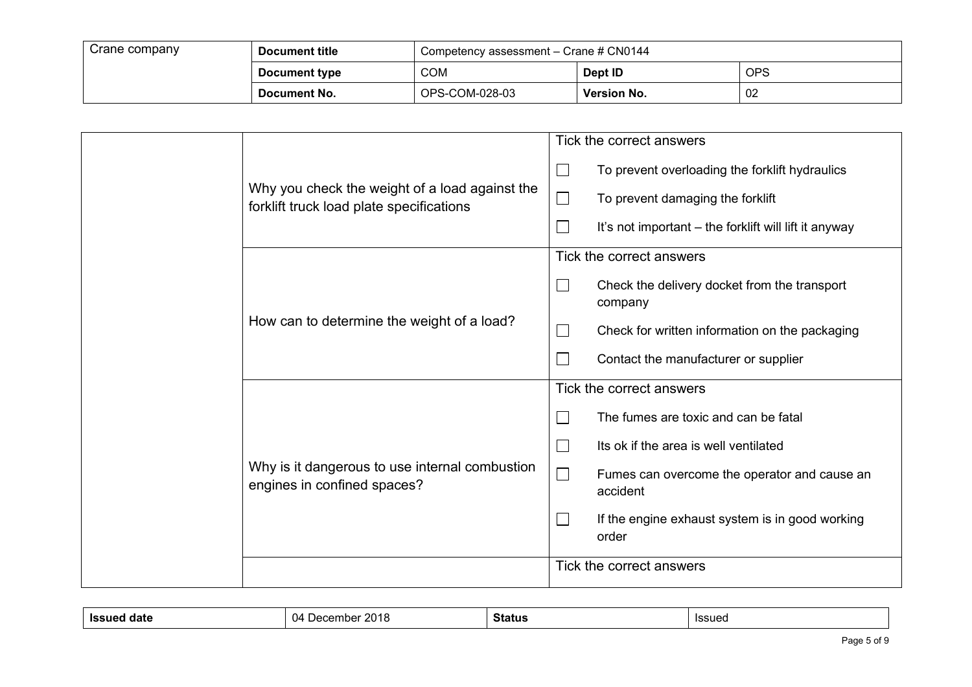| Crane company | Document title | Competency assessment - Crane # CN0144 |                    |            |
|---------------|----------------|----------------------------------------|--------------------|------------|
|               | Document type  | <b>COM</b>                             | Dept ID            | <b>OPS</b> |
|               | Document No.   | OPS-COM-028-03                         | <b>Version No.</b> | 02         |

|  |                                                                                            |        | Tick the correct answers                                 |
|--|--------------------------------------------------------------------------------------------|--------|----------------------------------------------------------|
|  |                                                                                            | $\Box$ | To prevent overloading the forklift hydraulics           |
|  | Why you check the weight of a load against the<br>forklift truck load plate specifications | $\Box$ | To prevent damaging the forklift                         |
|  |                                                                                            | $\Box$ | It's not important – the forklift will lift it anyway    |
|  |                                                                                            |        | Tick the correct answers                                 |
|  | $\Box$                                                                                     |        | Check the delivery docket from the transport<br>company  |
|  | How can to determine the weight of a load?                                                 | $\Box$ | Check for written information on the packaging           |
|  |                                                                                            |        | Contact the manufacturer or supplier                     |
|  |                                                                                            |        | Tick the correct answers                                 |
|  |                                                                                            |        | The fumes are toxic and can be fatal                     |
|  |                                                                                            |        | Its ok if the area is well ventilated                    |
|  | Why is it dangerous to use internal combustion<br>engines in confined spaces?              |        | Fumes can overcome the operator and cause an<br>accident |
|  |                                                                                            |        | If the engine exhaust system is in good working<br>order |
|  |                                                                                            |        | Tick the correct answers                                 |

| IS:<br>ю | ю<br><br>ັ | . .<br>ວເaເບເ | امتناءها<br>133454 |
|----------|------------|---------------|--------------------|
|          |            |               |                    |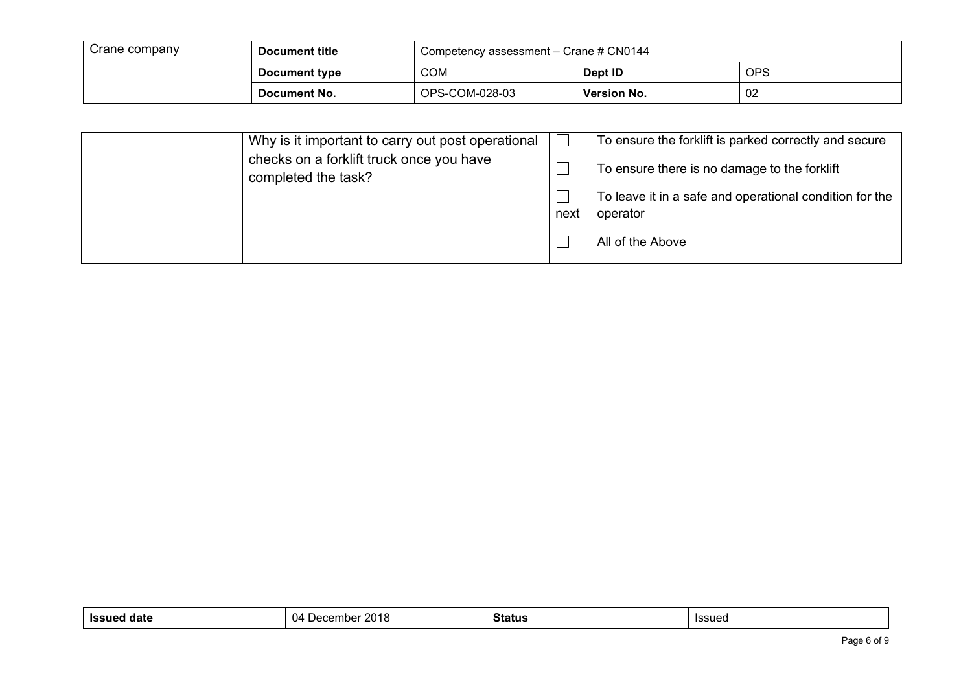| Crane company | Document title | Competency assessment - Crane # CN0144 |             |     |
|---------------|----------------|----------------------------------------|-------------|-----|
|               | Document type  | <b>COM</b>                             | Dept ID     | OPS |
|               | Document No.   | OPS-COM-028-03                         | Version No. | -02 |

| Why is it important to carry out post operational               |      | To ensure the forklift is parked correctly and secure               |
|-----------------------------------------------------------------|------|---------------------------------------------------------------------|
| checks on a forklift truck once you have<br>completed the task? |      | To ensure there is no damage to the forklift                        |
|                                                                 | next | To leave it in a safe and operational condition for the<br>operator |
|                                                                 |      | All of the Above                                                    |

| $\sim$<br>$\mathbf{v}$<br><b>Issu</b><br>mmbar<br>aate<br>Jer<br>. ان<br>1 I L J C | Status | Issued |
|------------------------------------------------------------------------------------|--------|--------|
|------------------------------------------------------------------------------------|--------|--------|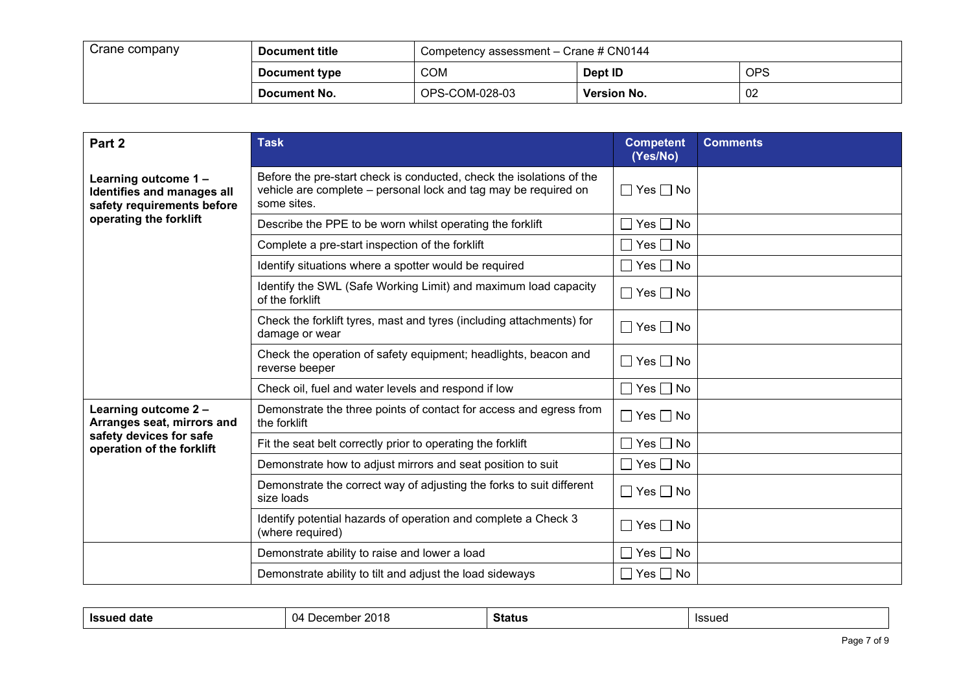| Crane company | <b>Document title</b> | Competency assessment - Crane # CN0144 |                    |     |
|---------------|-----------------------|----------------------------------------|--------------------|-----|
|               | Document type         | <b>COM</b>                             | Dept ID            | OPS |
|               | Document No.          | OPS-COM-028-03                         | <b>Version No.</b> | 02  |

| Part 2                                                                          | <b>Task</b>                                                                                                                                            | <b>Competent</b><br>(Yes/No) | <b>Comments</b> |
|---------------------------------------------------------------------------------|--------------------------------------------------------------------------------------------------------------------------------------------------------|------------------------------|-----------------|
| Learning outcome 1-<br>Identifies and manages all<br>safety requirements before | Before the pre-start check is conducted, check the isolations of the<br>vehicle are complete – personal lock and tag may be required on<br>some sites. | $\Box$ Yes $\Box$ No         |                 |
| operating the forklift                                                          | Describe the PPE to be worn whilst operating the forklift                                                                                              | $\Box$ Yes $\Box$ No         |                 |
|                                                                                 | Complete a pre-start inspection of the forklift                                                                                                        | $\Box$ Yes $\Box$ No         |                 |
|                                                                                 | Identify situations where a spotter would be required                                                                                                  | $\Box$ Yes $\Box$ No         |                 |
|                                                                                 | Identify the SWL (Safe Working Limit) and maximum load capacity<br>of the forklift                                                                     | $\Box$ Yes $\Box$ No         |                 |
|                                                                                 | Check the forklift tyres, mast and tyres (including attachments) for<br>damage or wear                                                                 | $\Box$ Yes $\Box$ No         |                 |
|                                                                                 | Check the operation of safety equipment; headlights, beacon and<br>reverse beeper                                                                      | $\Box$ Yes $\Box$ No         |                 |
|                                                                                 | Check oil, fuel and water levels and respond if low                                                                                                    | $\Box$ Yes $\Box$ No         |                 |
| Learning outcome 2 -<br>Arranges seat, mirrors and                              | Demonstrate the three points of contact for access and egress from<br>the forklift                                                                     | $\Box$ Yes $\Box$ No         |                 |
| safety devices for safe<br>operation of the forklift                            | Fit the seat belt correctly prior to operating the forklift                                                                                            | $\Box$ Yes $\Box$ No         |                 |
|                                                                                 | Demonstrate how to adjust mirrors and seat position to suit                                                                                            | $\Box$ Yes $\Box$ No         |                 |
|                                                                                 | Demonstrate the correct way of adjusting the forks to suit different<br>size loads                                                                     | $\Box$ Yes $\Box$ No         |                 |
|                                                                                 | Identify potential hazards of operation and complete a Check 3<br>(where required)                                                                     | $\Box$ Yes $\Box$ No         |                 |
|                                                                                 | Demonstrate ability to raise and lower a load                                                                                                          | $\Box$ Yes $\Box$ No         |                 |
|                                                                                 | Demonstrate ability to tilt and adjust the load sideways                                                                                               | $\Box$ Yes $\Box$ No         |                 |

| . .<br>بمبتوءا<br>``<br>Status<br>.<br><b>gate</b><br>ววนบ<br>.<br>. . |
|------------------------------------------------------------------------|
|------------------------------------------------------------------------|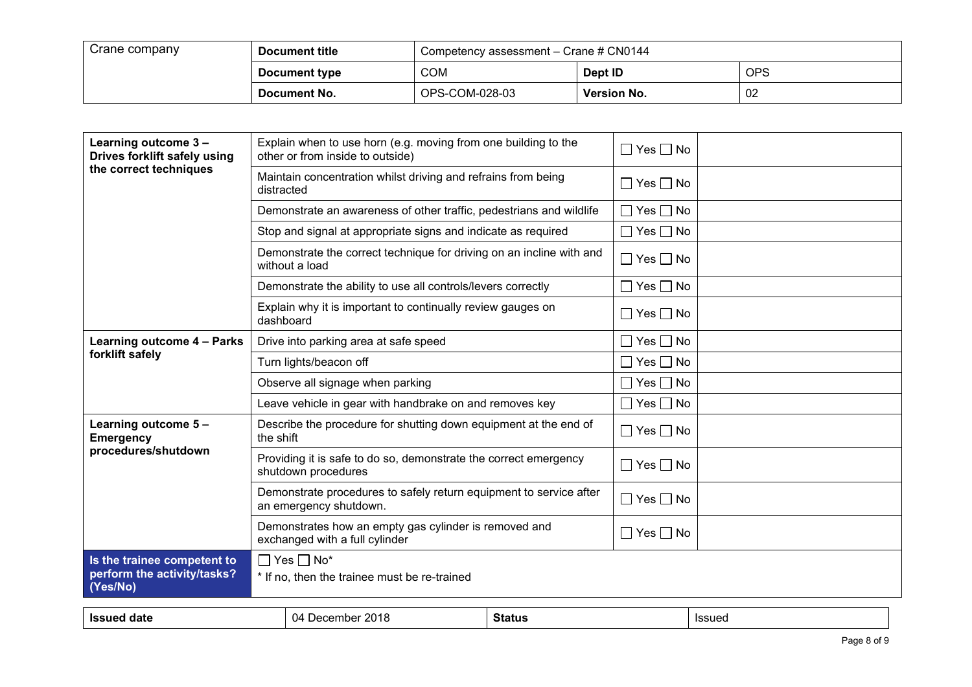| Crane company | Document title | Competency assessment - Crane # CN0144 |                    |     |
|---------------|----------------|----------------------------------------|--------------------|-----|
|               | Document type  | <b>COM</b>                             | Dept ID            | OPS |
|               | Document No.   | OPS-COM-028-03                         | <b>Version No.</b> | 02  |

| Explain when to use horn (e.g. moving from one building to the<br>other or from inside to outside) | $\Box$ Yes $\Box$ No |
|----------------------------------------------------------------------------------------------------|----------------------|
| Maintain concentration whilst driving and refrains from being<br>distracted                        | $\Box$ Yes $\Box$ No |
| Demonstrate an awareness of other traffic, pedestrians and wildlife                                | $\Box$ Yes $\Box$ No |
| Stop and signal at appropriate signs and indicate as required                                      | $\Box$ Yes $\Box$ No |
| Demonstrate the correct technique for driving on an incline with and<br>without a load             | $\Box$ Yes $\Box$ No |
| Demonstrate the ability to use all controls/levers correctly                                       | $\Box$ Yes $\Box$ No |
| Explain why it is important to continually review gauges on<br>dashboard                           | $\Box$ Yes $\Box$ No |
| Drive into parking area at safe speed                                                              | $\Box$ Yes $\Box$ No |
| Turn lights/beacon off                                                                             | $\Box$ Yes $\Box$ No |
| Observe all signage when parking                                                                   | $\Box$ Yes $\Box$ No |
| Leave vehicle in gear with handbrake on and removes key                                            | $\Box$ Yes $\Box$ No |
| Describe the procedure for shutting down equipment at the end of<br>the shift                      | $\Box$ Yes $\Box$ No |
| Providing it is safe to do so, demonstrate the correct emergency<br>shutdown procedures            | $\Box$ Yes $\Box$ No |
| Demonstrate procedures to safely return equipment to service after<br>an emergency shutdown.       | $\Box$ Yes $\Box$ No |
| Demonstrates how an empty gas cylinder is removed and<br>exchanged with a full cylinder            | $\Box$ Yes $\Box$ No |
| $\Box$ Yes $\Box$ No*                                                                              |                      |
| * If no, then the trainee must be re-trained                                                       |                      |
|                                                                                                    |                      |

| --<br>14<br><b>ISSL</b><br>،صدا<br>----<br>114<br>nne<br>uau | . .<br><b>Status</b> | ا در ۱۰<br>ിക്ക്വട്ട |
|--------------------------------------------------------------|----------------------|----------------------|
|--------------------------------------------------------------|----------------------|----------------------|